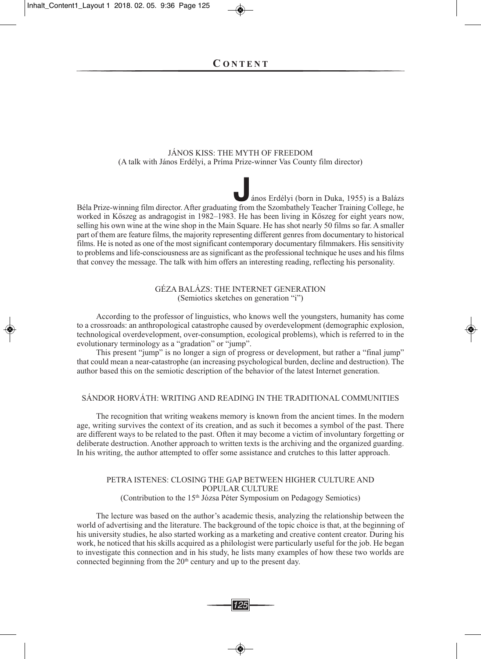#### JÁNOS KISS: the Myth OF FreeDOM (A talk with János erdélyi, a Príma Prize-winner Vas county film director)

ános Erdélyi (born in Duka, 1955) is a Balázs Béla Prize-winning film director. After graduating from the Szombathely Teacher Training College, he worked in Kőszeg as andragogist in 1982–1983. he has been living in Kőszeg for eight years now, selling his own wine at the wine shop in the Main Square. he has shot nearly 50 films so far. A smaller part of them are feature films, the majority representing different genres from documentary to historical films. he is noted as one of the most significant contemporary documentary filmmakers. his sensitivity to problems and life-consciousness are as significant as the professional technique he uses and his films that convey the message. the talk with him offers an interesting reading, reflecting his personality.

## GÉZA BALÁZS: the INterNet GeNerAtION (Semiotics sketches on generation "i")

According to the professor of linguistics, who knows well the youngsters, humanity has come to a crossroads: an anthropological catastrophe caused by overdevelopment (demographic explosion, technological overdevelopment, over-consumption, ecological problems), which is referred to in the evolutionary terminology as a "gradation" or "jump".

this present "jump" is no longer a sign of progress or development, but rather a "final jump" that could mean a near-catastrophe (an increasing psychological burden, decline and destruction). the author based this on the semiotic description of the behavior of the latest Internet generation.

## SÁNDOr hOrVÁth: WrItING AND reADING IN the trADItIONAL cOMMuNItIeS

The recognition that writing weakens memory is known from the ancient times. In the modern age, writing survives the context of its creation, and as such it becomes a symbol of the past. There are different ways to be related to the past. Often it may become a victim of involuntary forgetting or deliberate destruction. Another approach to written texts is the archiving and the organized guarding. In his writing, the author attempted to offer some assistance and crutches to this latter approach.

#### PetrA ISteNeS: cLOSING the GAP BetWeeN hIGher cuLture AND POPuLAr cuLture (contribution to the 15th Józsa Péter Symposium on Pedagogy Semiotics)

the lecture was based on the author's academic thesis, analyzing the relationship between the world of advertising and the literature. The background of the topic choice is that, at the beginning of his university studies, he also started working as a marketing and creative content creator. During his work, he noticed that his skills acquired as a philologist were particularly useful for the job. he began to investigate this connection and in his study, he lists many examples of how these two worlds are connected beginning from the 20<sup>th</sup> century and up to the present day.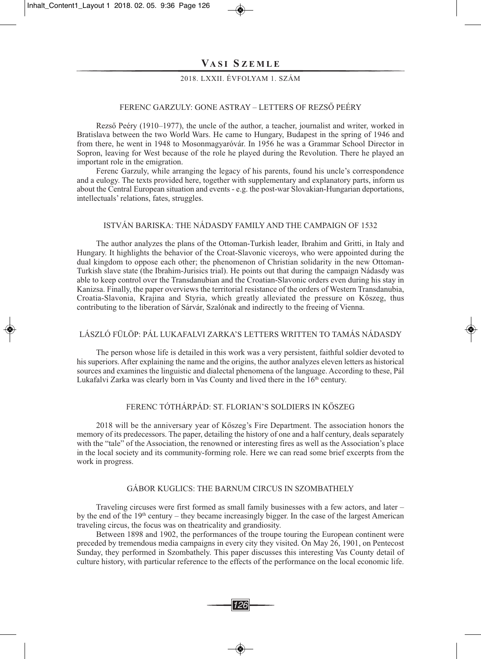# **VA S I S Z E M L E**

# 2018. LXXII. ÉVFOLyAM 1. SZÁM

#### FereNc GArZuLy: GONe AStrAy – LetterS OF reZSŐ PeÉry

Rezső Peéry (1910–1977), the uncle of the author, a teacher, journalist and writer, worked in Bratislava between the two World Wars. He came to Hungary, Budapest in the spring of 1946 and from there, he went in 1948 to Mosonmagyaróvár. In 1956 he was a Grammar School Director in Sopron, leaving for West because of the role he played during the Revolution. There he played an important role in the emigration.

Ferenc Garzuly, while arranging the legacy of his parents, found his uncle's correspondence and a eulogy. The texts provided here, together with supplementary and explanatory parts, inform us about the Central European situation and events - e.g. the post-war Slovakian-Hungarian deportations, intellectuals' relations, fates, struggles.

#### IStVÁN BArISKA: the NÁDASDy FAMILy AND the cAMPAIGN OF 1532

The author analyzes the plans of the Ottoman-Turkish leader, Ibrahim and Gritti, in Italy and hungary. It highlights the behavior of the croat-Slavonic viceroys, who were appointed during the dual kingdom to oppose each other; the phenomenon of christian solidarity in the new Ottoman-Turkish slave state (the Ibrahim-Jurisics trial). He points out that during the campaign Nádasdy was able to keep control over the Transdanubian and the Croatian-Slavonic orders even during his stay in Kanizsa. Finally, the paper overviews the territorial resistance of the orders of Western transdanubia, croatia-Slavonia, Krajina and Styria, which greatly alleviated the pressure on Kőszeg, thus contributing to the liberation of Sárvár, Szalónak and indirectly to the freeing of Vienna.

### LÁSZLÓ FÜLÖP: PÁL LuKAFALVI ZArKA'S LetterS WrItteN tO tAMÁS NÁDASDy

the person whose life is detailed in this work was a very persistent, faithful soldier devoted to his superiors. After explaining the name and the origins, the author analyzes eleven letters as historical sources and examines the linguistic and dialectal phenomena of the language. According to these, Pál Lukafalvi Zarka was clearly born in Vas County and lived there in the  $16<sup>th</sup>$  century.

# FereNc tÓthÁrPÁD: St. FLOrIAN'S SOLDIerS IN KŐSZeG

2018 will be the anniversary year of Kőszeg's Fire Department. the association honors the memory of its predecessors. the paper, detailing the history of one and a half century, deals separately with the "tale" of the Association, the renowned or interesting fires as well as the Association's place in the local society and its community-forming role. here we can read some brief excerpts from the work in progress.

## GÁBOr KuGLIcS: the BArNuM cIrcuS IN SZOMBAtheLy

Traveling circuses were first formed as small family businesses with a few actors, and later  $$ by the end of the  $19<sup>th</sup>$  century – they became increasingly bigger. In the case of the largest American traveling circus, the focus was on theatricality and grandiosity.

Between 1898 and 1902, the performances of the troupe touring the European continent were preceded by tremendous media campaigns in every city they visited. On May 26, 1901, on Pentecost Sunday, they performed in Szombathely. This paper discusses this interesting Vas County detail of culture history, with particular reference to the effects of the performance on the local economic life.